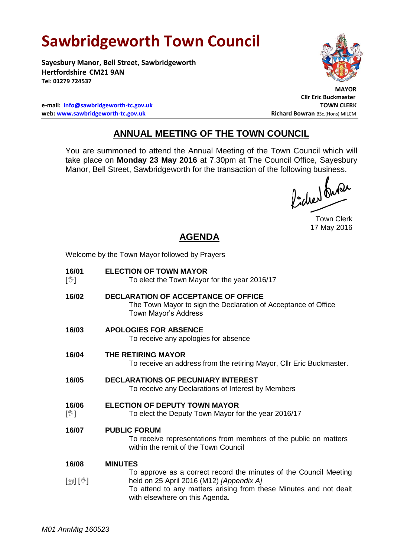# **Sawbridgeworth Town Council**

Welcome by the Town Mayor followed by Prayers

**Sayesbury Manor, Bell Street, Sawbridgeworth Hertfordshire CM21 9AN Tel: 01279 724537**

**e-mail: [info@sawbridgeworth-tc.gov.uk](mailto:info@sawbridgeworth-tc.gov.uk) TOWN CLERK web: www.sawbridgeworth-tc.gov.uk Richard Bowran BSc.(Hons) MILCM Richard Bowran BSc.(Hons) MILCM** 



 **MAYOR Cllr Eric Buckmaster**

## **ANNUAL MEETING OF THE TOWN COUNCIL**

You are summoned to attend the Annual Meeting of the Town Council which will take place on **Monday 23 May 2016** at 7.30pm at The Council Office, Sayesbury Manor, Bell Street, Sawbridgeworth for the transaction of the following business.<br>  $\int_{\mathbb{R}} \int_{\mathbb{R}} \mathbb{Q} \mathcal{L}$ 

Town Clerk 17 May 2016

## **AGENDA**

| 16/01<br>$[\mathbb{V}]$             | <b>ELECTION OF TOWN MAYOR</b><br>To elect the Town Mayor for the year 2016/17                                                                                                                                                          |
|-------------------------------------|----------------------------------------------------------------------------------------------------------------------------------------------------------------------------------------------------------------------------------------|
| 16/02                               | <b>DECLARATION OF ACCEPTANCE OF OFFICE</b><br>The Town Mayor to sign the Declaration of Acceptance of Office<br>Town Mayor's Address                                                                                                   |
| 16/03                               | <b>APOLOGIES FOR ABSENCE</b><br>To receive any apologies for absence                                                                                                                                                                   |
| 16/04                               | THE RETIRING MAYOR<br>To receive an address from the retiring Mayor, Cllr Eric Buckmaster.                                                                                                                                             |
| 16/05                               | <b>DECLARATIONS OF PECUNIARY INTEREST</b><br>To receive any Declarations of Interest by Members                                                                                                                                        |
| 16/06<br>$[\mathbb{V}]$             | <b>ELECTION OF DEPUTY TOWN MAYOR</b><br>To elect the Deputy Town Mayor for the year 2016/17                                                                                                                                            |
| 16/07                               | <b>PUBLIC FORUM</b><br>To receive representations from members of the public on matters<br>within the remit of the Town Council                                                                                                        |
| 16/08<br>$\mathbb{D}[\mathbb{D}^1]$ | <b>MINUTES</b><br>To approve as a correct record the minutes of the Council Meeting<br>held on 25 April 2016 (M12) [Appendix A]<br>To attend to any matters arising from these Minutes and not dealt<br>with elsewhere on this Agenda. |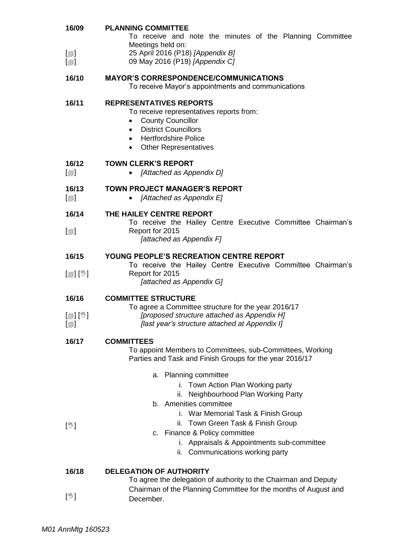| 16/09<br>$\boxdot$                           | <b>PLANNING COMMITTEE</b><br>To receive and note the minutes of the Planning Committee<br>Meetings held on:<br>25 April 2016 (P18) [Appendix B]                                                                                     |  |  |  |  |
|----------------------------------------------|-------------------------------------------------------------------------------------------------------------------------------------------------------------------------------------------------------------------------------------|--|--|--|--|
| $\lbrack \bigcirc \rbrack$                   | 09 May 2016 (P19) [Appendix C]                                                                                                                                                                                                      |  |  |  |  |
| 16/10                                        | <b>MAYOR'S CORRESPONDENCE/COMMUNICATIONS</b><br>To receive Mayor's appointments and communications                                                                                                                                  |  |  |  |  |
| 16/11                                        | <b>REPRESENTATIVES REPORTS</b><br>To receive representatives reports from:<br><b>County Councillor</b><br><b>District Councillors</b><br>٠<br><b>Hertfordshire Police</b><br>$\bullet$<br><b>Other Representatives</b><br>$\bullet$ |  |  |  |  |
| 16/12<br>$\lceil$                            | <b>TOWN CLERK'S REPORT</b><br>[Attached as Appendix D]                                                                                                                                                                              |  |  |  |  |
| 16/13<br>$\lbrack \bigcirc \rbrack$          | <b>TOWN PROJECT MANAGER'S REPORT</b><br>[Attached as Appendix E]                                                                                                                                                                    |  |  |  |  |
| 16/14                                        | THE HAILEY CENTRE REPORT                                                                                                                                                                                                            |  |  |  |  |
| $\lbrack \oplus \rbrack$                     | To receive the Hailey Centre Executive Committee Chairman's<br>Report for 2015<br>[attached as Appendix F]                                                                                                                          |  |  |  |  |
| 16/15                                        | <b>YOUNG PEOPLE'S RECREATION CENTRE REPORT</b>                                                                                                                                                                                      |  |  |  |  |
| $\mathbb{D}[\mathbb{D}^1]$                   | To receive the Hailey Centre Executive Committee Chairman's<br>Report for 2015<br>[attached as Appendix G]                                                                                                                          |  |  |  |  |
| 16/16                                        | <b>COMMITTEE STRUCTURE</b><br>To agree a Committee structure for the year 2016/17                                                                                                                                                   |  |  |  |  |
| $[\circledcirc]$ $[\mathbb{V}]$<br>$\boxdot$ | [proposed structure attached as Appendix H]<br>[last year's structure attached at Appendix I]                                                                                                                                       |  |  |  |  |
| 16/17                                        | <b>COMMITTEES</b><br>To appoint Members to Committees, sub-Committees, Working<br>Parties and Task and Finish Groups for the year 2016/17                                                                                           |  |  |  |  |
|                                              | a. Planning committee<br>i. Town Action Plan Working party<br>Neighbourhood Plan Working Party<br>ii.                                                                                                                               |  |  |  |  |
|                                              | b. Amenities committee<br>i. War Memorial Task & Finish Group                                                                                                                                                                       |  |  |  |  |
| $[\mathbb{V}]$                               | ii. Town Green Task & Finish Group<br>c. Finance & Policy committee                                                                                                                                                                 |  |  |  |  |
|                                              | i. Appraisals & Appointments sub-committee<br>ii. Communications working party                                                                                                                                                      |  |  |  |  |
| 16/18                                        | <b>DELEGATION OF AUTHORITY</b>                                                                                                                                                                                                      |  |  |  |  |
| $[\mathbb{V}]$                               | To agree the delegation of authority to the Chairman and Deputy<br>Chairman of the Planning Committee for the months of August and<br>December.                                                                                     |  |  |  |  |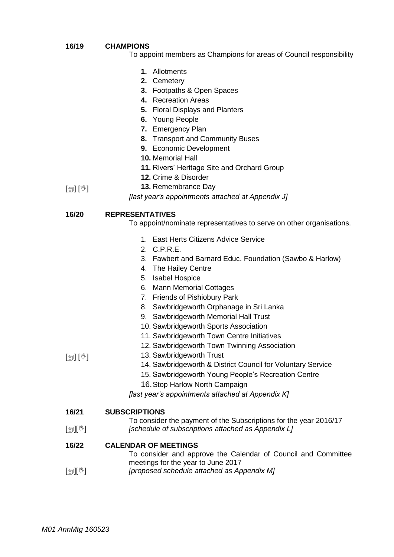#### **16/19 CHAMPIONS**

- To appoint members as Champions for areas of Council responsibility
	- **1.** Allotments
	- **2.** Cemetery
	- **3.** Footpaths & Open Spaces
	- **4.** Recreation Areas
	- **5.** Floral Displays and Planters
	- **6.** Young People
	- **7.** Emergency Plan
	- **8.** Transport and Community Buses
	- **9.** Economic Development
	- **10.** Memorial Hall
	- **11.** Rivers' Heritage Site and Orchard Group
	- **12.** Crime & Disorder
- $\lceil$  [ $\mathbb{I}$ ]  $\lceil \mathbb{V} \rceil$ **13.** Remembrance Day

*[last year's appointments attached at Appendix J]*

#### **16/20 REPRESENTATIVES**

To appoint/nominate representatives to serve on other organisations.

- 1. East Herts Citizens Advice Service
- 2. C.P.R.E.
- 3. Fawbert and Barnard Educ. Foundation (Sawbo & Harlow)
- 4. The Hailey Centre
- 5. Isabel Hospice
- 6. Mann Memorial Cottages
- 7. Friends of Pishiobury Park
- 8. Sawbridgeworth Orphanage in Sri Lanka
- 9. Sawbridgeworth Memorial Hall Trust
- 10. Sawbridgeworth Sports Association
- 11. Sawbridgeworth Town Centre Initiatives
- 12. Sawbridgeworth Town Twinning Association

#### $\lceil$  [ $\mathbb{I}$ ]  $\lceil \mathbb{V} \rceil$

- 14. Sawbridgeworth & District Council for Voluntary Service
- 15. Sawbridgeworth Young People's Recreation Centre
- 16.Stop Harlow North Campaign

13. Sawbridgeworth Trust

*[last year's appointments attached at Appendix K]*

#### **16/21 SUBSCRIPTIONS**

 $[\mathbb{C}^{\mathbb{C}}]$ To consider the payment of the Subscriptions for the year 2016/17 *[schedule of subscriptions attached as Appendix L]*

#### **16/22 CALENDAR OF MEETINGS**

To consider and approve the Calendar of Council and Committee meetings for the year to June 2017

 $\mathbb{E}[\mathbb{E}$ *[proposed schedule attached as Appendix M]*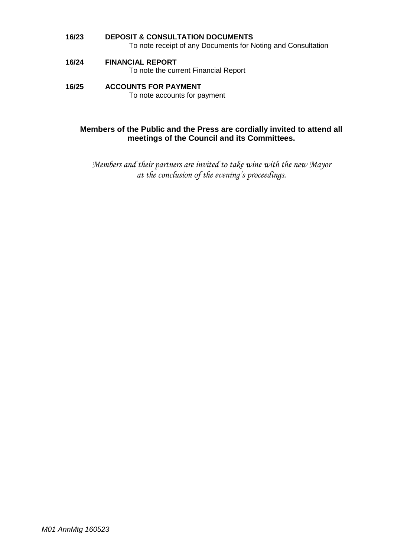#### **16/23 DEPOSIT & CONSULTATION DOCUMENTS** To note receipt of any Documents for Noting and Consultation

**16/24 FINANCIAL REPORT** To note the current Financial Report

### **16/25 ACCOUNTS FOR PAYMENT** To note accounts for payment

## **Members of the Public and the Press are cordially invited to attend all meetings of the Council and its Committees.**

*Members and their partners are invited to take wine with the new Mayor at the conclusion of the evening's proceedings.*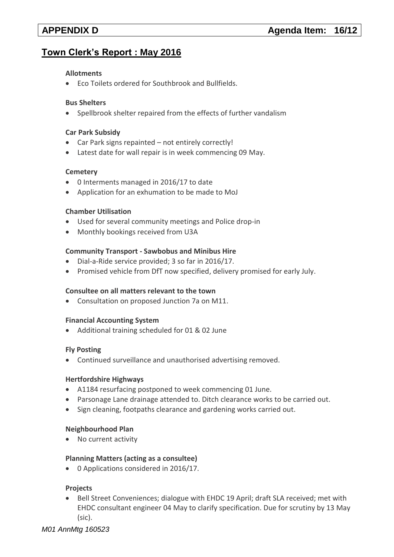## **Town Clerk's Report : May 2016**

#### **[Allotments](http://www.sawbridgeworth-tc.gov.uk/town-information/town-council-services/allotments)**

Eco Toilets ordered for Southbrook and Bullfields.

#### **Bus Shelters**

• Spellbrook shelter repaired from the effects of further vandalism

#### **Car Park Subsidy**

- Car Park signs repainted not entirely correctly!
- Latest date for wall repair is in week commencing 09 May.

#### **[Cemetery](http://www.sawbridgeworth-tc.gov.uk/town-information/town-council-services/cemetery)**

- 0 Interments managed in 2016/17 to date
- Application for an exhumation to be made to MoJ

#### **Chamber Utilisation**

- Used for several community meetings and Police drop-in
- Monthly bookings received from U3A

#### **Community Transport - [Sawbobus](http://www.sawbridgeworth-tc.gov.uk/town-information/town-council-services/sawbobus) and [Minibus Hire](http://www.sawbridgeworth-tc.gov.uk/town-information/town-council-services/minibus-hire)**

- Dial-a-Ride service provided; 3 so far in 2016/17.
- Promised vehicle from DfT now specified, delivery promised for early July.

#### **Consultee on all matters relevant to the town**

Consultation on proposed Junction 7a on M11.

#### **Financial Accounting System**

Additional training scheduled for 01 & 02 June

#### **Fly Posting**

Continued surveillance and unauthorised advertising removed.

#### **Hertfordshire Highways**

- A1184 resurfacing postponed to week commencing 01 June.
- Parsonage Lane drainage attended to. Ditch clearance works to be carried out.
- Sign cleaning, footpaths clearance and gardening works carried out.

#### **Neighbourhood Plan**

• No current activity

#### **[Planning Matters \(acting as a consultee\)](http://www.sawbridgeworth-tc.gov.uk/town-council/planning)**

• 0 Applications considered in 2016/17.

#### **Projects**

 Bell Street Conveniences; dialogue with EHDC 19 April; draft SLA received; met with EHDC consultant engineer 04 May to clarify specification. Due for scrutiny by 13 May (sic).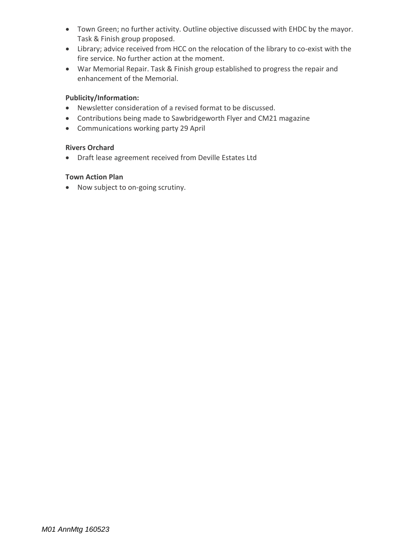- Town Green; no further activity. Outline objective discussed with EHDC by the mayor. Task & Finish group proposed.
- Library; advice received from HCC on the relocation of the library to co-exist with the fire service. No further action at the moment.
- War Memorial Repair. Task & Finish group established to progress the repair and enhancement of the Memorial.

### **Publicity/Information:**

- Newsletter consideration of a revised format to be discussed.
- Contributions being made to Sawbridgeworth Flyer and CM21 magazine
- Communications working party 29 April

#### **Rivers Orchard**

Draft lease agreement received from Deville Estates Ltd

#### **Town Action Plan**

Now subject to on-going scrutiny.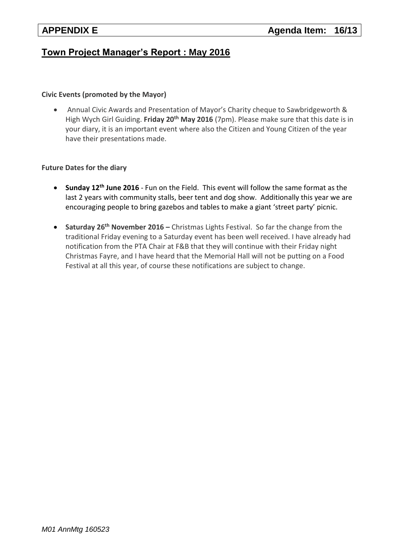## **Town Project Manager's Report : May 2016**

### **[Civic Events \(promoted by the Mayor\)](http://www.sawbridgeworth-tc.gov.uk/town-council/the-mayor)**

 Annual Civic Awards and Presentation of Mayor's Charity cheque to Sawbridgeworth & High Wych Girl Guiding. **Friday 20th May 2016** (7pm). Please make sure that this date is in your diary, it is an important event where also the Citizen and Young Citizen of the year have their presentations made.

#### **Future Dates for the diary**

- **Sunday 12th June 2016** Fun on the Field. This event will follow the same format as the last 2 years with community stalls, beer tent and dog show. Additionally this year we are encouraging people to bring gazebos and tables to make a giant 'street party' picnic.
- **Saturday 26th November 2016 –** Christmas Lights Festival. So far the change from the traditional Friday evening to a Saturday event has been well received. I have already had notification from the PTA Chair at F&B that they will continue with their Friday night Christmas Fayre, and I have heard that the Memorial Hall will not be putting on a Food Festival at all this year, of course these notifications are subject to change.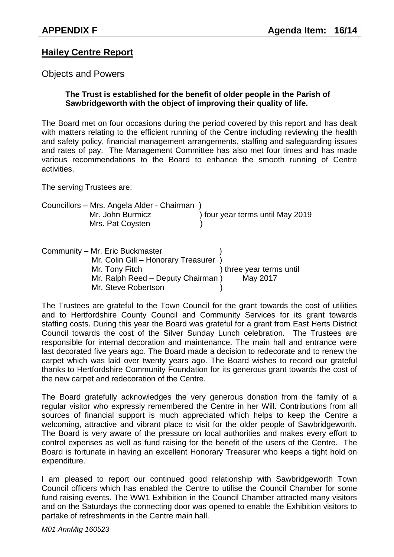## **Hailey Centre Report**

Objects and Powers

## **The Trust is established for the benefit of older people in the Parish of Sawbridgeworth with the object of improving their quality of life.**

The Board met on four occasions during the period covered by this report and has dealt with matters relating to the efficient running of the Centre including reviewing the health and safety policy, financial management arrangements, staffing and safeguarding issues and rates of pay. The Management Committee has also met four times and has made various recommendations to the Board to enhance the smooth running of Centre activities.

The serving Trustees are:

| Councillors – Mrs. Angela Alder - Chairman) |                                  |
|---------------------------------------------|----------------------------------|
| Mr. John Burmicz                            | ) four year terms until May 2019 |
| Mrs. Pat Coysten                            |                                  |

| Community - Mr. Eric Buckmaster     |                          |
|-------------------------------------|--------------------------|
| Mr. Colin Gill - Honorary Treasurer |                          |
| Mr. Tony Fitch                      | ) three year terms until |
| Mr. Ralph Reed - Deputy Chairman)   | May 2017                 |
| Mr. Steve Robertson                 |                          |

The Trustees are grateful to the Town Council for the grant towards the cost of utilities and to Hertfordshire County Council and Community Services for its grant towards staffing costs. During this year the Board was grateful for a grant from East Herts District Council towards the cost of the Silver Sunday Lunch celebration. The Trustees are responsible for internal decoration and maintenance. The main hall and entrance were last decorated five years ago. The Board made a decision to redecorate and to renew the carpet which was laid over twenty years ago. The Board wishes to record our grateful thanks to Hertfordshire Community Foundation for its generous grant towards the cost of the new carpet and redecoration of the Centre.

The Board gratefully acknowledges the very generous donation from the family of a regular visitor who expressly remembered the Centre in her Will. Contributions from all sources of financial support is much appreciated which helps to keep the Centre a welcoming, attractive and vibrant place to visit for the older people of Sawbridgeworth. The Board is very aware of the pressure on local authorities and makes every effort to control expenses as well as fund raising for the benefit of the users of the Centre. The Board is fortunate in having an excellent Honorary Treasurer who keeps a tight hold on expenditure.

I am pleased to report our continued good relationship with Sawbridgeworth Town Council officers which has enabled the Centre to utilise the Council Chamber for some fund raising events. The WW1 Exhibition in the Council Chamber attracted many visitors and on the Saturdays the connecting door was opened to enable the Exhibition visitors to partake of refreshments in the Centre main hall.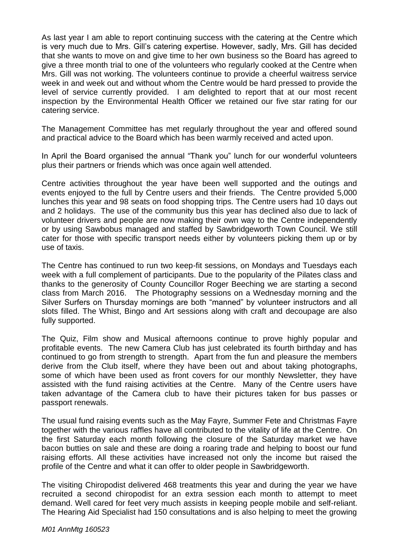As last year I am able to report continuing success with the catering at the Centre which is very much due to Mrs. Gill's catering expertise. However, sadly, Mrs. Gill has decided that she wants to move on and give time to her own business so the Board has agreed to give a three month trial to one of the volunteers who regularly cooked at the Centre when Mrs. Gill was not working. The volunteers continue to provide a cheerful waitress service week in and week out and without whom the Centre would be hard pressed to provide the level of service currently provided. I am delighted to report that at our most recent inspection by the Environmental Health Officer we retained our five star rating for our catering service.

The Management Committee has met regularly throughout the year and offered sound and practical advice to the Board which has been warmly received and acted upon.

In April the Board organised the annual "Thank you" lunch for our wonderful volunteers plus their partners or friends which was once again well attended.

Centre activities throughout the year have been well supported and the outings and events enjoyed to the full by Centre users and their friends. The Centre provided 5,000 lunches this year and 98 seats on food shopping trips. The Centre users had 10 days out and 2 holidays. The use of the community bus this year has declined also due to lack of volunteer drivers and people are now making their own way to the Centre independently or by using Sawbobus managed and staffed by Sawbridgeworth Town Council. We still cater for those with specific transport needs either by volunteers picking them up or by use of taxis.

The Centre has continued to run two keep-fit sessions, on Mondays and Tuesdays each week with a full complement of participants. Due to the popularity of the Pilates class and thanks to the generosity of County Councillor Roger Beeching we are starting a second class from March 2016. The Photography sessions on a Wednesday morning and the Silver Surfers on Thursday mornings are both "manned" by volunteer instructors and all slots filled. The Whist, Bingo and Art sessions along with craft and decoupage are also fully supported.

The Quiz, Film show and Musical afternoons continue to prove highly popular and profitable events. The new Camera Club has just celebrated its fourth birthday and has continued to go from strength to strength. Apart from the fun and pleasure the members derive from the Club itself, where they have been out and about taking photographs, some of which have been used as front covers for our monthly Newsletter, they have assisted with the fund raising activities at the Centre. Many of the Centre users have taken advantage of the Camera club to have their pictures taken for bus passes or passport renewals.

The usual fund raising events such as the May Fayre, Summer Fete and Christmas Fayre together with the various raffles have all contributed to the vitality of life at the Centre. On the first Saturday each month following the closure of the Saturday market we have bacon butties on sale and these are doing a roaring trade and helping to boost our fund raising efforts. All these activities have increased not only the income but raised the profile of the Centre and what it can offer to older people in Sawbridgeworth.

The visiting Chiropodist delivered 468 treatments this year and during the year we have recruited a second chiropodist for an extra session each month to attempt to meet demand. Well cared for feet very much assists in keeping people mobile and self-reliant. The Hearing Aid Specialist had 150 consultations and is also helping to meet the growing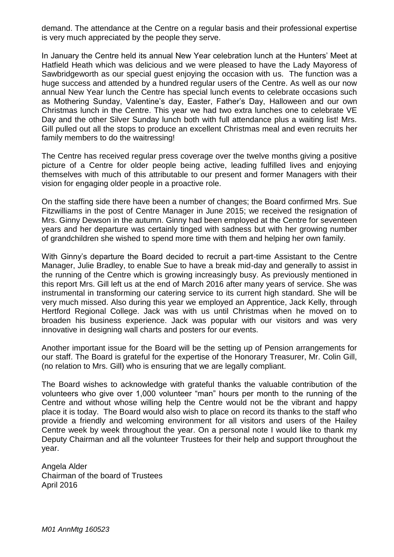demand. The attendance at the Centre on a regular basis and their professional expertise is very much appreciated by the people they serve.

In January the Centre held its annual New Year celebration lunch at the Hunters' Meet at Hatfield Heath which was delicious and we were pleased to have the Lady Mayoress of Sawbridgeworth as our special guest enjoying the occasion with us. The function was a huge success and attended by a hundred regular users of the Centre. As well as our now annual New Year lunch the Centre has special lunch events to celebrate occasions such as Mothering Sunday, Valentine's day, Easter, Father's Day, Halloween and our own Christmas lunch in the Centre. This year we had two extra lunches one to celebrate VE Day and the other Silver Sunday lunch both with full attendance plus a waiting list! Mrs. Gill pulled out all the stops to produce an excellent Christmas meal and even recruits her family members to do the waitressing!

The Centre has received regular press coverage over the twelve months giving a positive picture of a Centre for older people being active, leading fulfilled lives and enjoying themselves with much of this attributable to our present and former Managers with their vision for engaging older people in a proactive role.

On the staffing side there have been a number of changes; the Board confirmed Mrs. Sue Fitzwilliams in the post of Centre Manager in June 2015; we received the resignation of Mrs. Ginny Dewson in the autumn. Ginny had been employed at the Centre for seventeen years and her departure was certainly tinged with sadness but with her growing number of grandchildren she wished to spend more time with them and helping her own family.

With Ginny's departure the Board decided to recruit a part-time Assistant to the Centre Manager, Julie Bradley, to enable Sue to have a break mid-day and generally to assist in the running of the Centre which is growing increasingly busy. As previously mentioned in this report Mrs. Gill left us at the end of March 2016 after many years of service. She was instrumental in transforming our catering service to its current high standard. She will be very much missed. Also during this year we employed an Apprentice, Jack Kelly, through Hertford Regional College. Jack was with us until Christmas when he moved on to broaden his business experience. Jack was popular with our visitors and was very innovative in designing wall charts and posters for our events.

Another important issue for the Board will be the setting up of Pension arrangements for our staff. The Board is grateful for the expertise of the Honorary Treasurer, Mr. Colin Gill, (no relation to Mrs. Gill) who is ensuring that we are legally compliant.

The Board wishes to acknowledge with grateful thanks the valuable contribution of the volunteers who give over 1,000 volunteer "man" hours per month to the running of the Centre and without whose willing help the Centre would not be the vibrant and happy place it is today. The Board would also wish to place on record its thanks to the staff who provide a friendly and welcoming environment for all visitors and users of the Hailey Centre week by week throughout the year. On a personal note I would like to thank my Deputy Chairman and all the volunteer Trustees for their help and support throughout the year.

Angela Alder Chairman of the board of Trustees April 2016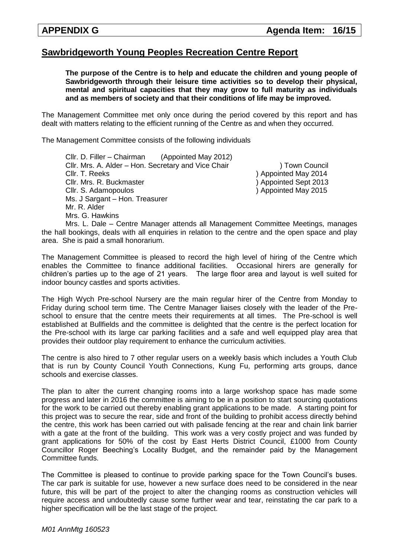## **Sawbridgeworth Young Peoples Recreation Centre Report**

**The purpose of the Centre is to help and educate the children and young people of Sawbridgeworth through their leisure time activities so to develop their physical, mental and spiritual capacities that they may grow to full maturity as individuals and as members of society and that their conditions of life may be improved.**

The Management Committee met only once during the period covered by this report and has dealt with matters relating to the efficient running of the Centre as and when they occurred.

The Management Committee consists of the following individuals

Cllr. D. Filler – Chairman (Appointed May 2012) Cllr. Mrs. A. Alder – Hon. Secretary and Vice Chair ) Town Council Cllr. T. Reeks ) Appointed May 2014 Cllr. Mrs. R. Buckmaster ) Appointed Sept 2013 Cllr. S. Adamopoulos ) Appointed May 2015 Ms. J Sargant – Hon. Treasurer Mr. R. Alder Mrs. G. Hawkins

Mrs. L. Dale – Centre Manager attends all Management Committee Meetings, manages the hall bookings, deals with all enquiries in relation to the centre and the open space and play area. She is paid a small honorarium.

The Management Committee is pleased to record the high level of hiring of the Centre which enables the Committee to finance additional facilities. Occasional hirers are generally for children's parties up to the age of 21 years. The large floor area and layout is well suited for indoor bouncy castles and sports activities.

The High Wych Pre-school Nursery are the main regular hirer of the Centre from Monday to Friday during school term time. The Centre Manager liaises closely with the leader of the Preschool to ensure that the centre meets their requirements at all times. The Pre-school is well established at Bullfields and the committee is delighted that the centre is the perfect location for the Pre-school with its large car parking facilities and a safe and well equipped play area that provides their outdoor play requirement to enhance the curriculum activities.

The centre is also hired to 7 other regular users on a weekly basis which includes a Youth Club that is run by County Council Youth Connections, Kung Fu, performing arts groups, dance schools and exercise classes.

The plan to alter the current changing rooms into a large workshop space has made some progress and later in 2016 the committee is aiming to be in a position to start sourcing quotations for the work to be carried out thereby enabling grant applications to be made. A starting point for this project was to secure the rear, side and front of the building to prohibit access directly behind the centre, this work has been carried out with palisade fencing at the rear and chain link barrier with a gate at the front of the building. This work was a very costly project and was funded by grant applications for 50% of the cost by East Herts District Council, £1000 from County Councillor Roger Beeching's Locality Budget, and the remainder paid by the Management Committee funds.

The Committee is pleased to continue to provide parking space for the Town Council's buses. The car park is suitable for use, however a new surface does need to be considered in the near future, this will be part of the project to alter the changing rooms as construction vehicles will require access and undoubtedly cause some further wear and tear, reinstating the car park to a higher specification will be the last stage of the project.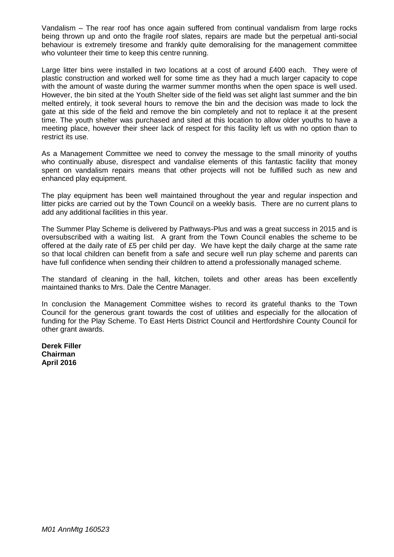Vandalism – The rear roof has once again suffered from continual vandalism from large rocks being thrown up and onto the fragile roof slates, repairs are made but the perpetual anti-social behaviour is extremely tiresome and frankly quite demoralising for the management committee who volunteer their time to keep this centre running.

Large litter bins were installed in two locations at a cost of around £400 each. They were of plastic construction and worked well for some time as they had a much larger capacity to cope with the amount of waste during the warmer summer months when the open space is well used. However, the bin sited at the Youth Shelter side of the field was set alight last summer and the bin melted entirely, it took several hours to remove the bin and the decision was made to lock the gate at this side of the field and remove the bin completely and not to replace it at the present time. The youth shelter was purchased and sited at this location to allow older youths to have a meeting place, however their sheer lack of respect for this facility left us with no option than to restrict its use.

As a Management Committee we need to convey the message to the small minority of youths who continually abuse, disrespect and vandalise elements of this fantastic facility that money spent on vandalism repairs means that other projects will not be fulfilled such as new and enhanced play equipment.

The play equipment has been well maintained throughout the year and regular inspection and litter picks are carried out by the Town Council on a weekly basis. There are no current plans to add any additional facilities in this year.

The Summer Play Scheme is delivered by Pathways-Plus and was a great success in 2015 and is oversubscribed with a waiting list. A grant from the Town Council enables the scheme to be offered at the daily rate of £5 per child per day. We have kept the daily charge at the same rate so that local children can benefit from a safe and secure well run play scheme and parents can have full confidence when sending their children to attend a professionally managed scheme.

The standard of cleaning in the hall, kitchen, toilets and other areas has been excellently maintained thanks to Mrs. Dale the Centre Manager.

In conclusion the Management Committee wishes to record its grateful thanks to the Town Council for the generous grant towards the cost of utilities and especially for the allocation of funding for the Play Scheme. To East Herts District Council and Hertfordshire County Council for other grant awards.

**Derek Filler Chairman April 2016**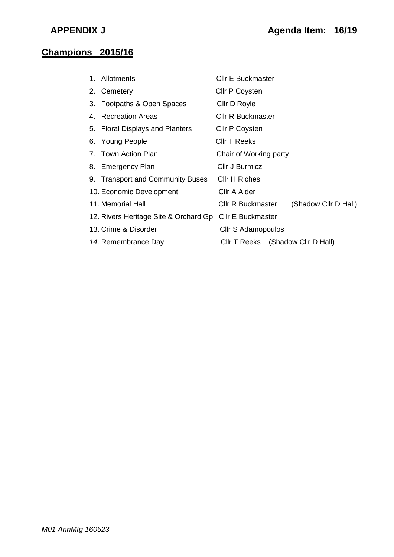# **Champions 2015/16**

| 1. Allotments                         | <b>CIIr E Buckmaster</b>                  |
|---------------------------------------|-------------------------------------------|
| 2. Cemetery                           | Cllr P Coysten                            |
| 3. Footpaths & Open Spaces            | Cllr D Royle                              |
| 4. Recreation Areas                   | <b>CIIr R Buckmaster</b>                  |
| 5. Floral Displays and Planters       | Cllr P Coysten                            |
| 6. Young People                       | <b>CIIr T Reeks</b>                       |
| 7. Town Action Plan                   | Chair of Working party                    |
| 8. Emergency Plan                     | Cllr J Burmicz                            |
| 9. Transport and Community Buses      | <b>CIIr H Riches</b>                      |
| 10. Economic Development              | Cllr A Alder                              |
| 11. Memorial Hall                     | (Shadow Cllr D Hall)<br>Cllr R Buckmaster |
| 12. Rivers Heritage Site & Orchard Gp | <b>CIIr E Buckmaster</b>                  |
| 13. Crime & Disorder                  | Cllr S Adamopoulos                        |
| 14. Remembrance Day                   | Cllr T Reeks (Shadow Cllr D Hall)         |
|                                       |                                           |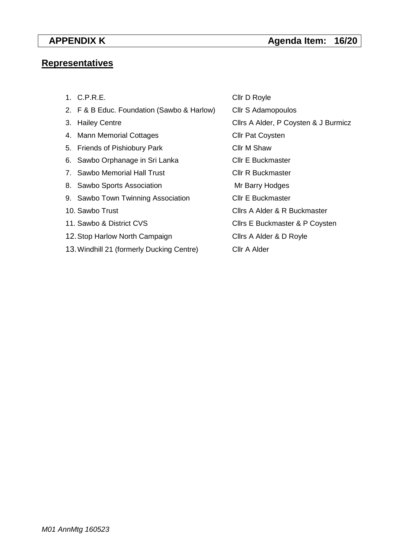# **Representatives**

| 1. C.P.R.E.                                | Cllr D Royle                         |
|--------------------------------------------|--------------------------------------|
| 2. F & B Educ. Foundation (Sawbo & Harlow) | Cllr S Adamopoulos                   |
| 3. Hailey Centre                           | Cllrs A Alder, P Coysten & J Burmicz |
| 4. Mann Memorial Cottages                  | <b>Cllr Pat Coysten</b>              |
| 5. Friends of Pishiobury Park              | Cllr M Shaw                          |
| 6. Sawbo Orphanage in Sri Lanka            | <b>CIIr E Buckmaster</b>             |
| 7. Sawbo Memorial Hall Trust               | <b>CIIr R Buckmaster</b>             |
| 8. Sawbo Sports Association                | Mr Barry Hodges                      |
| 9. Sawbo Town Twinning Association         | <b>CIIr E Buckmaster</b>             |
| 10. Sawbo Trust                            | Cllrs A Alder & R Buckmaster         |
| 11. Sawbo & District CVS                   | Cllrs E Buckmaster & P Coysten       |
| 12. Stop Harlow North Campaign             | Clirs A Alder & D Royle              |
| 13. Windhill 21 (formerly Ducking Centre)  | Cllr A Alder                         |
|                                            |                                      |